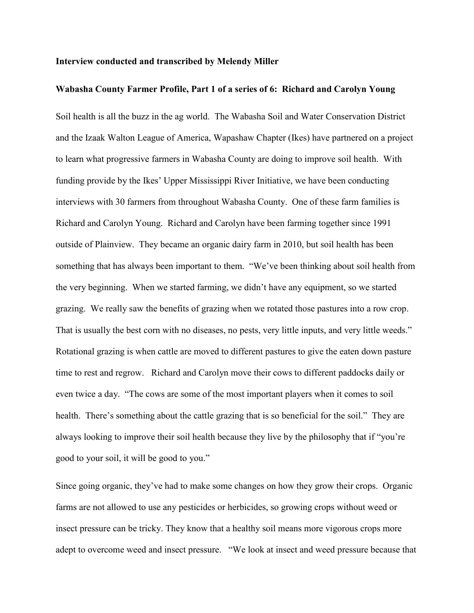## **Interview conducted and transcribed by Melendy Miller**

## **Wabasha County Farmer Profile, Part 1 of a series of 6: Richard and Carolyn Young**

Soil health is all the buzz in the ag world. The Wabasha Soil and Water Conservation District and the Izaak Walton League of America, Wapashaw Chapter (Ikes) have partnered on a project to learn what progressive farmers in Wabasha County are doing to improve soil health. With funding provide by the Ikes' Upper Mississippi River Initiative, we have been conducting interviews with 30 farmers from throughout Wabasha County. One of these farm families is Richard and Carolyn Young. Richard and Carolyn have been farming together since 1991 outside of Plainview. They became an organic dairy farm in 2010, but soil health has been something that has always been important to them. "We've been thinking about soil health from the very beginning. When we started farming, we didn't have any equipment, so we started grazing. We really saw the benefits of grazing when we rotated those pastures into a row crop. That is usually the best corn with no diseases, no pests, very little inputs, and very little weeds." Rotational grazing is when cattle are moved to different pastures to give the eaten down pasture time to rest and regrow. Richard and Carolyn move their cows to different paddocks daily or even twice a day. "The cows are some of the most important players when it comes to soil health. There's something about the cattle grazing that is so beneficial for the soil." They are always looking to improve their soil health because they live by the philosophy that if "you're good to your soil, it will be good to you."

Since going organic, they've had to make some changes on how they grow their crops. Organic farms are not allowed to use any pesticides or herbicides, so growing crops without weed or insect pressure can be tricky. They know that a healthy soil means more vigorous crops more adept to overcome weed and insect pressure. "We look at insect and weed pressure because that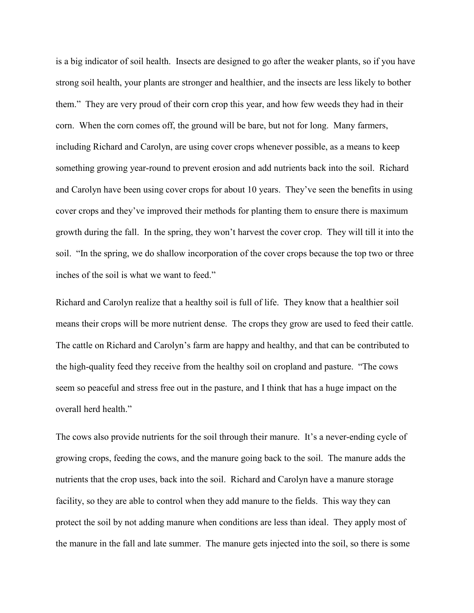is a big indicator of soil health. Insects are designed to go after the weaker plants, so if you have strong soil health, your plants are stronger and healthier, and the insects are less likely to bother them." They are very proud of their corn crop this year, and how few weeds they had in their corn. When the corn comes off, the ground will be bare, but not for long. Many farmers, including Richard and Carolyn, are using cover crops whenever possible, as a means to keep something growing year-round to prevent erosion and add nutrients back into the soil. Richard and Carolyn have been using cover crops for about 10 years. They've seen the benefits in using cover crops and they've improved their methods for planting them to ensure there is maximum growth during the fall. In the spring, they won't harvest the cover crop. They will till it into the soil. "In the spring, we do shallow incorporation of the cover crops because the top two or three inches of the soil is what we want to feed."

Richard and Carolyn realize that a healthy soil is full of life. They know that a healthier soil means their crops will be more nutrient dense. The crops they grow are used to feed their cattle. The cattle on Richard and Carolyn's farm are happy and healthy, and that can be contributed to the high-quality feed they receive from the healthy soil on cropland and pasture. "The cows seem so peaceful and stress free out in the pasture, and I think that has a huge impact on the overall herd health."

The cows also provide nutrients for the soil through their manure. It's a never-ending cycle of growing crops, feeding the cows, and the manure going back to the soil. The manure adds the nutrients that the crop uses, back into the soil. Richard and Carolyn have a manure storage facility, so they are able to control when they add manure to the fields. This way they can protect the soil by not adding manure when conditions are less than ideal. They apply most of the manure in the fall and late summer. The manure gets injected into the soil, so there is some